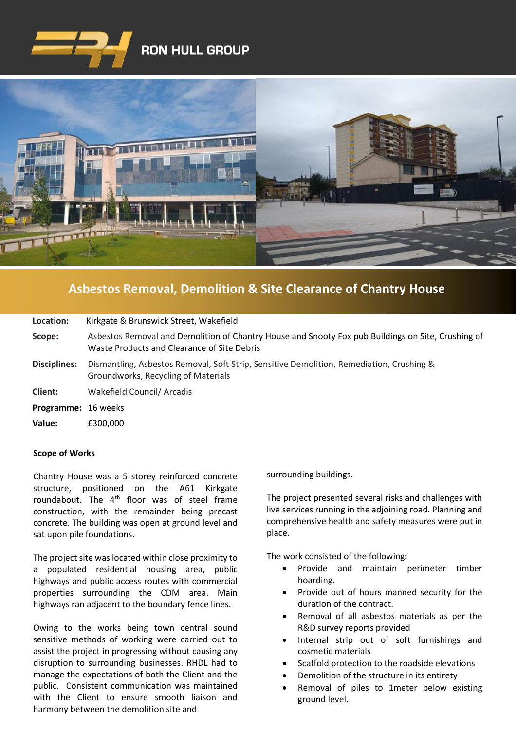



## **[Asbestos Removal, Demolition & Site Clearance of Chantry House](https://www.google.co.uk/imgres?imgurl=http%3A%2F%2Fwww.clenergy.co.uk%2FImageGen.ashx%3Fimage%3D%2Fmedia%2F1044%2Fcredit-solutia-2009-looking-south-4mb.jpg%26width%3D568%26height%3D320&imgrefurl=http%3A%2F%2Fwww.clenergy.co.uk%2Fprojects%2Fsolutia%2F&docid=l4QIaOP_OnRHZM&tbnid=A2rf481aMiEi8M%3A&vet=10ahUKEwie4JWq6srkAhX6SxUIHaTaDYwQMwg_KAEwAQ..i&w=568&h=320&bih=575&biw=1280&q=eastman%20chemical%20plant%20newport%20wales&ved=0ahUKEwie4JWq6srkAhX6SxUIHaTaDYwQMwg_KAEwAQ&iact=mrc&uact=8)**

| Location:                  | Kirkgate & Brunswick Street, Wakefield                                                                                                            |
|----------------------------|---------------------------------------------------------------------------------------------------------------------------------------------------|
| Scope:                     | Asbestos Removal and Demolition of Chantry House and Snooty Fox pub Buildings on Site, Crushing of<br>Waste Products and Clearance of Site Debris |
| Disciplines:               | Dismantling, Asbestos Removal, Soft Strip, Sensitive Demolition, Remediation, Crushing &<br>Groundworks, Recycling of Materials                   |
| Client:                    | Wakefield Council/ Arcadis                                                                                                                        |
| <b>Programme: 16 weeks</b> |                                                                                                                                                   |
| Value:                     | £300,000                                                                                                                                          |
|                            |                                                                                                                                                   |

## **Scope of Works**

Chantry House was a 5 storey reinforced concrete structure, positioned on the A61 Kirkgate roundabout. The 4<sup>th</sup> floor was of steel frame construction, with the remainder being precast concrete. The building was open at ground level and sat upon pile foundations.

The project site was located within close proximity to a populated residential housing area, public highways and public access routes with commercial properties surrounding the CDM area. Main highways ran adjacent to the boundary fence lines.

Owing to the works being town central sound sensitive methods of working were carried out to assist the project in progressing without causing any disruption to surrounding businesses. RHDL had to manage the expectations of both the Client and the public. Consistent communication was maintained with the Client to ensure smooth liaison and harmony between the demolition site and

surrounding buildings.

The project presented several risks and challenges with live services running in the adjoining road. Planning and comprehensive health and safety measures were put in place.

The work consisted of the following:

- Provide and maintain perimeter timber hoarding.
- Provide out of hours manned security for the duration of the contract.
- Removal of all asbestos materials as per the R&D survey reports provided
- Internal strip out of soft furnishings and cosmetic materials
- Scaffold protection to the roadside elevations
- Demolition of the structure in its entirety
- Removal of piles to 1meter below existing ground level.